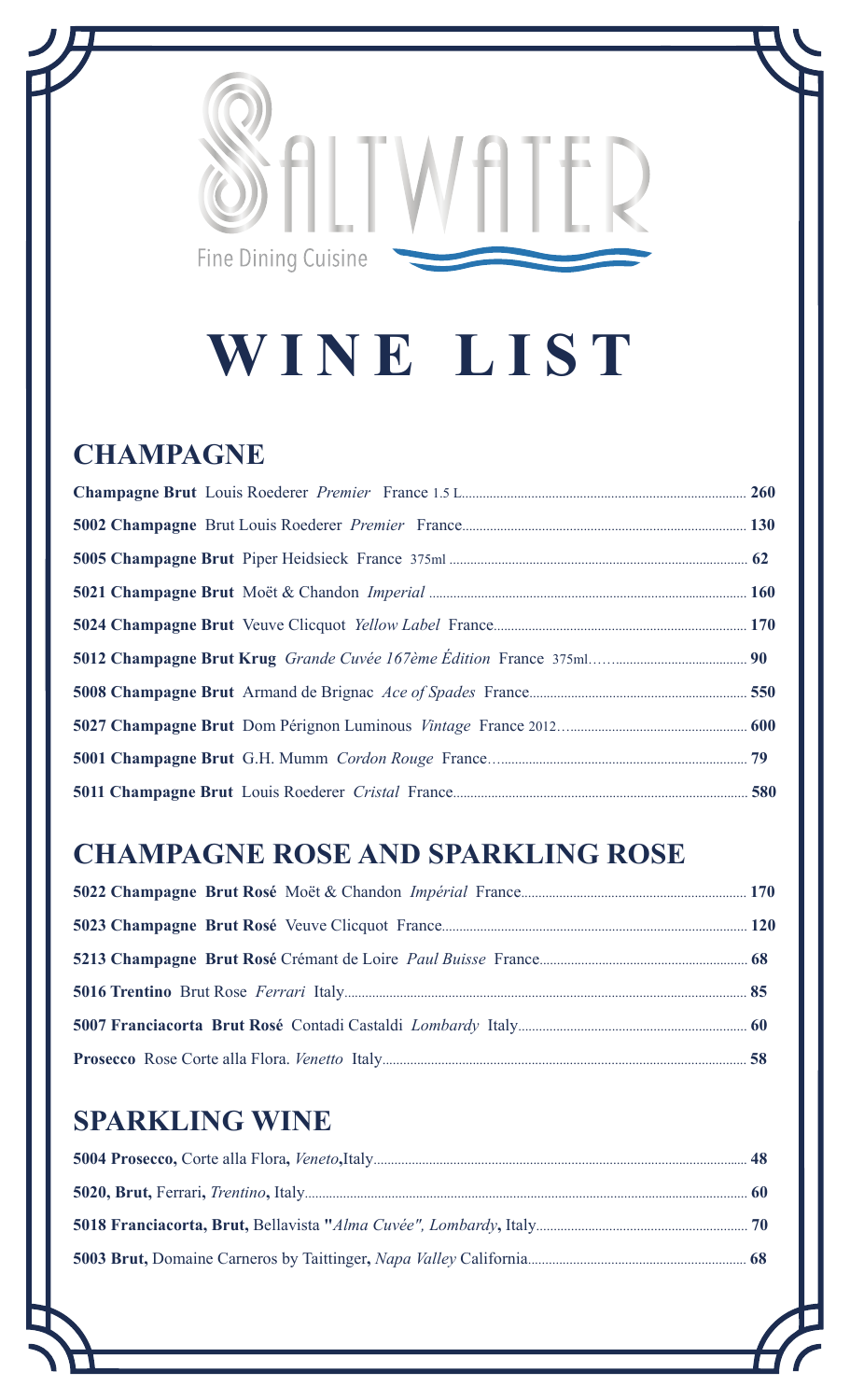

# **WINE LIST**

#### **CHAMPAGNE**

## **CHAMPAGNE ROSE AND SPARKLING ROSE**

## **SPARKLING WINE**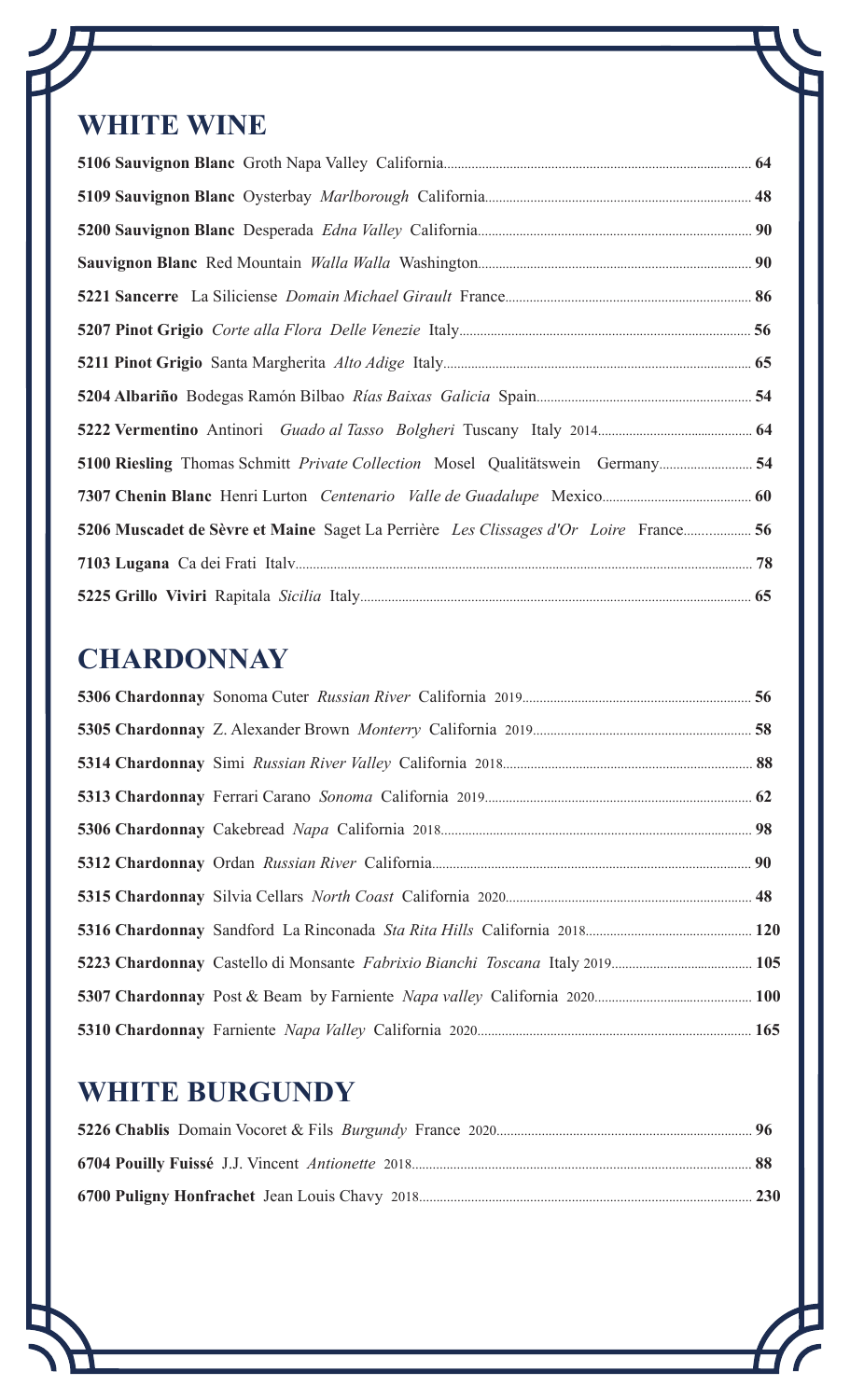### **WHITE WINE**

| 54 5100 Riesling Thomas Schmitt Private Collection Mosel Qualitätswein Germany       |  |
|--------------------------------------------------------------------------------------|--|
|                                                                                      |  |
| 5206 Muscadet de Sèvre et Maine Saget La Perrière Les Clissages d'Or Loire France 56 |  |
|                                                                                      |  |
|                                                                                      |  |

### **CHARDONNAY**

## **WHITE BURGUNDY**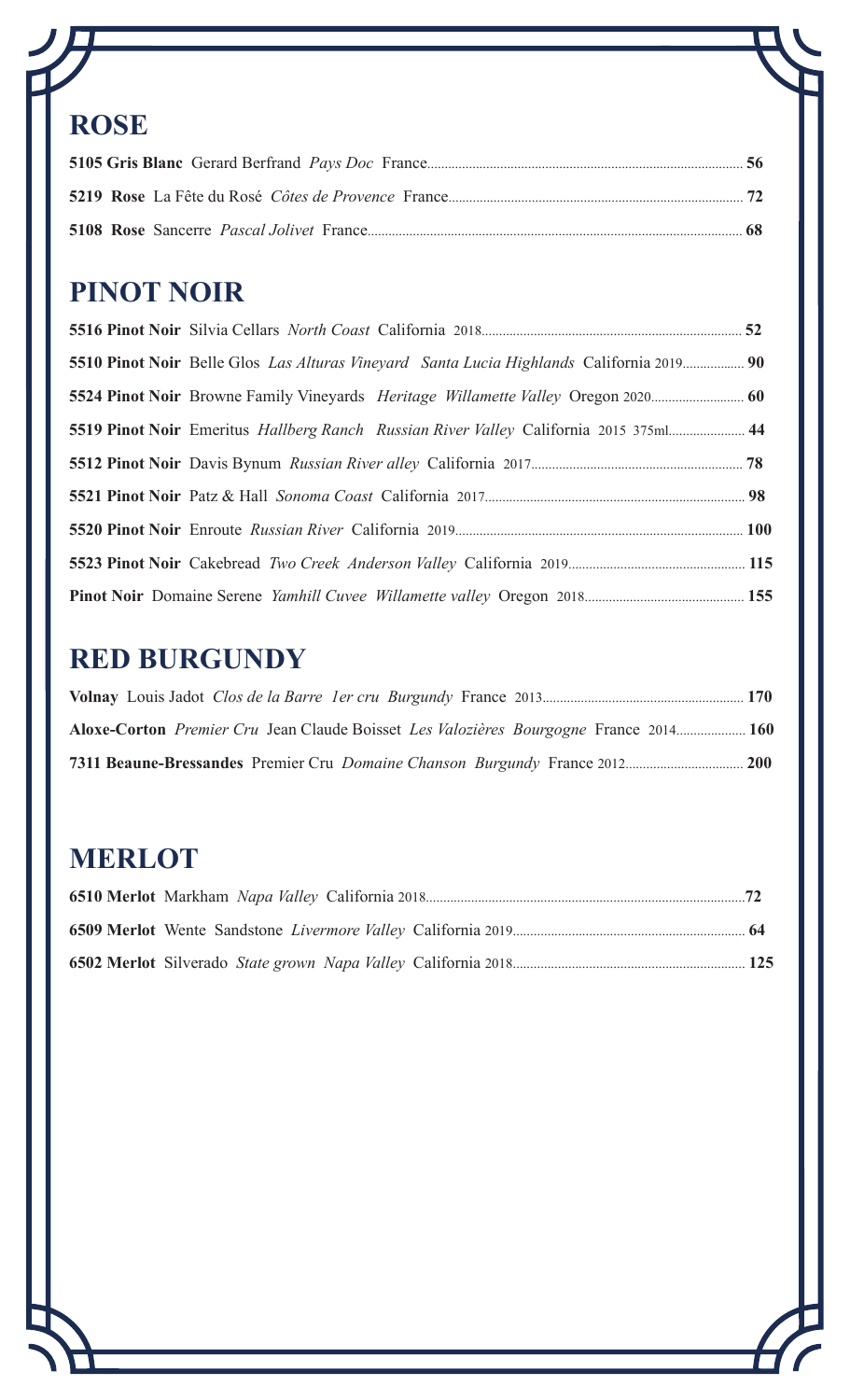## **ROSE**

## **PINOT NOIR**

|  | 5510 Pinot Noir Belle Glos Las Alturas Vineyard Santa Lucia Highlands California 2019 90 |  |
|--|------------------------------------------------------------------------------------------|--|
|  |                                                                                          |  |
|  | 5519 Pinot Noir Emeritus Hallberg Ranch Russian River Valley California 2015 375ml 44    |  |
|  |                                                                                          |  |
|  |                                                                                          |  |
|  |                                                                                          |  |
|  |                                                                                          |  |
|  |                                                                                          |  |

## **RED BURGUNDY**

| Aloxe-Corton <i>Premier Cru</i> Jean Claude Boisset <i>Les Valozières Bourgogne</i> France 2014 160 |  |
|-----------------------------------------------------------------------------------------------------|--|
|                                                                                                     |  |

## **MERLOT**